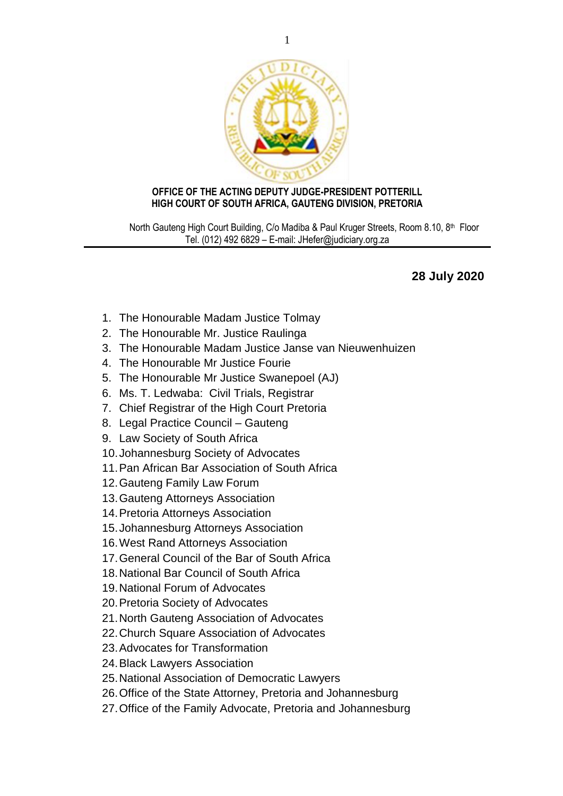

## **OFFICE OF THE ACTING DEPUTY JUDGE-PRESIDENT POTTERILL HIGH COURT OF SOUTH AFRICA, GAUTENG DIVISION, PRETORIA**

North Gauteng High Court Building, C/o Madiba & Paul Kruger Streets, Room 8.10, 8<sup>th</sup> Floor Tel. (012) 492 6829 – E-mail: JHefer@judiciary.org.za

## **28 July 2020**

- 1. The Honourable Madam Justice Tolmay
- 2. The Honourable Mr. Justice Raulinga
- 3. The Honourable Madam Justice Janse van Nieuwenhuizen
- 4. The Honourable Mr Justice Fourie
- 5. The Honourable Mr Justice Swanepoel (AJ)
- 6. Ms. T. Ledwaba: Civil Trials, Registrar
- 7. Chief Registrar of the High Court Pretoria
- 8. Legal Practice Council Gauteng
- 9. Law Society of South Africa
- 10.Johannesburg Society of Advocates
- 11.Pan African Bar Association of South Africa
- 12.Gauteng Family Law Forum
- 13.Gauteng Attorneys Association
- 14.Pretoria Attorneys Association
- 15.Johannesburg Attorneys Association
- 16.West Rand Attorneys Association
- 17.General Council of the Bar of South Africa
- 18.National Bar Council of South Africa
- 19.National Forum of Advocates
- 20.Pretoria Society of Advocates
- 21.North Gauteng Association of Advocates
- 22.Church Square Association of Advocates
- 23.Advocates for Transformation
- 24.Black Lawyers Association
- 25.National Association of Democratic Lawyers
- 26.Office of the State Attorney, Pretoria and Johannesburg
- 27.Office of the Family Advocate, Pretoria and Johannesburg

1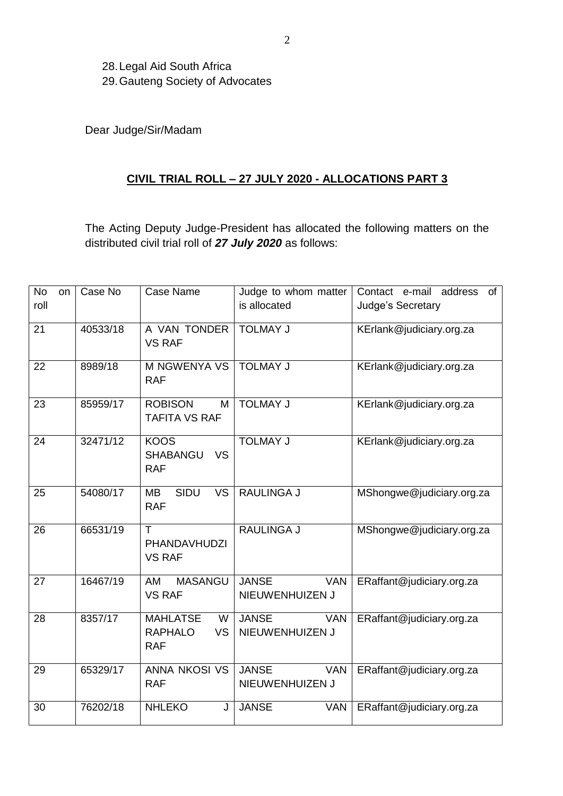28.Legal Aid South Africa 29.Gauteng Society of Advocates

Dear Judge/Sir/Madam

## **CIVIL TRIAL ROLL – 27 JULY 2020 - ALLOCATIONS PART 3**

The Acting Deputy Judge-President has allocated the following matters on the distributed civil trial roll of *27 July 2020* as follows:

| <b>No</b><br>on | Case No  | Case Name                                                          | Judge to whom matter                          | Contact e-mail<br>address<br>of |
|-----------------|----------|--------------------------------------------------------------------|-----------------------------------------------|---------------------------------|
| roll            |          |                                                                    | is allocated                                  | Judge's Secretary               |
| 21              | 40533/18 | A VAN TONDER<br><b>VS RAF</b>                                      | <b>TOLMAY J</b>                               | KErlank@judiciary.org.za        |
| 22              | 8989/18  | <b>M NGWENYA VS</b><br><b>RAF</b>                                  | <b>TOLMAY J</b>                               | KErlank@judiciary.org.za        |
| 23              | 85959/17 | <b>ROBISON</b><br>M<br><b>TAFITA VS RAF</b>                        | <b>TOLMAY J</b>                               | KErlank@judiciary.org.za        |
| 24              | 32471/12 | <b>KOOS</b><br><b>SHABANGU</b><br><b>VS</b><br><b>RAF</b>          | <b>TOLMAY J</b>                               | KErlank@judiciary.org.za        |
| 25              | 54080/17 | <b>SIDU</b><br>$\overline{\mathsf{VS}}$<br><b>MB</b><br><b>RAF</b> | <b>RAULINGA J</b>                             | MShongwe@judiciary.org.za       |
| 26              | 66531/19 | T<br>PHANDAVHUDZI<br><b>VS RAF</b>                                 | <b>RAULINGA J</b>                             | MShongwe@judiciary.org.za       |
| 27              | 16467/19 | AM<br><b>MASANGU</b><br><b>VS RAF</b>                              | <b>JANSE</b><br><b>VAN</b><br>NIEUWENHUIZEN J | ERaffant@judiciary.org.za       |
| 28              | 8357/17  | <b>MAHLATSE</b><br>W<br><b>RAPHALO</b><br><b>VS</b><br><b>RAF</b>  | <b>JANSE</b><br><b>VAN</b><br>NIEUWENHUIZEN J | ERaffant@judiciary.org.za       |
| 29              | 65329/17 | <b>ANNA NKOSI VS</b><br><b>RAF</b>                                 | <b>JANSE</b><br>VAN<br>NIEUWENHUIZEN J        | ERaffant@judiciary.org.za       |
| 30              | 76202/18 | <b>NHLEKO</b><br>J                                                 | <b>JANSE</b><br><b>VAN</b>                    | ERaffant@judiciary.org.za       |